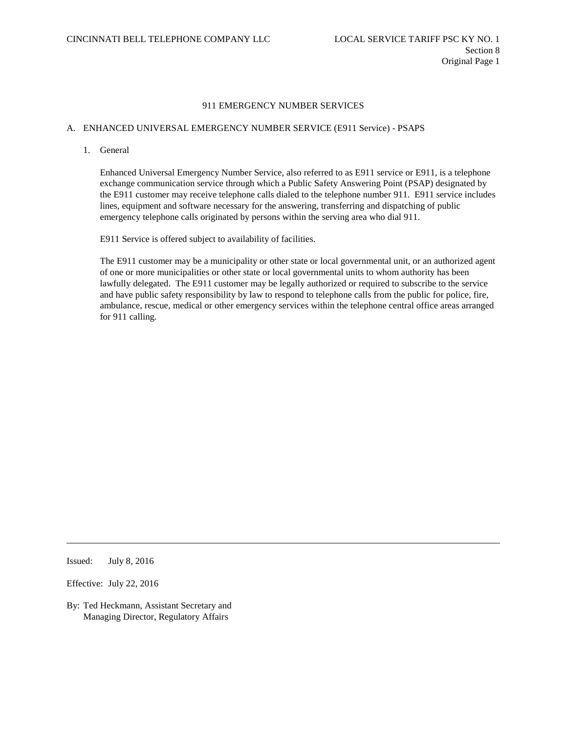## A. ENHANCED UNIVERSAL EMERGENCY NUMBER SERVICE (E911 Service) - PSAPS

1. General

Enhanced Universal Emergency Number Service, also referred to as E911 service or E911, is a telephone exchange communication service through which a Public Safety Answering Point (PSAP) designated by the E911 customer may receive telephone calls dialed to the telephone number 911. E911 service includes lines, equipment and software necessary for the answering, transferring and dispatching of public emergency telephone calls originated by persons within the serving area who dial 911.

E911 Service is offered subject to availability of facilities.

The E911 customer may be a municipality or other state or local governmental unit, or an authorized agent of one or more municipalities or other state or local governmental units to whom authority has been lawfully delegated. The E911 customer may be legally authorized or required to subscribe to the service and have public safety responsibility by law to respond to telephone calls from the public for police, fire, ambulance, rescue, medical or other emergency services within the telephone central office areas arranged for 911 calling.

Issued: July 8, 2016

Effective: July 22, 2016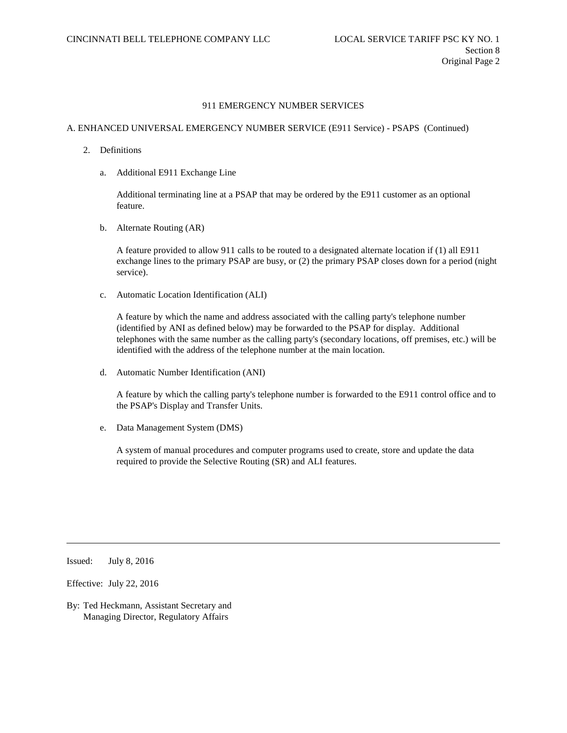# A. ENHANCED UNIVERSAL EMERGENCY NUMBER SERVICE (E911 Service) - PSAPS (Continued)

- 2. Definitions
	- a. Additional E911 Exchange Line

Additional terminating line at a PSAP that may be ordered by the E911 customer as an optional feature.

b. Alternate Routing (AR)

A feature provided to allow 911 calls to be routed to a designated alternate location if (1) all E911 exchange lines to the primary PSAP are busy, or (2) the primary PSAP closes down for a period (night service).

c. Automatic Location Identification (ALI)

A feature by which the name and address associated with the calling party's telephone number (identified by ANI as defined below) may be forwarded to the PSAP for display. Additional telephones with the same number as the calling party's (secondary locations, off premises, etc.) will be identified with the address of the telephone number at the main location.

d. Automatic Number Identification (ANI)

A feature by which the calling party's telephone number is forwarded to the E911 control office and to the PSAP's Display and Transfer Units.

e. Data Management System (DMS)

A system of manual procedures and computer programs used to create, store and update the data required to provide the Selective Routing (SR) and ALI features.

Issued: July 8, 2016

Effective: July 22, 2016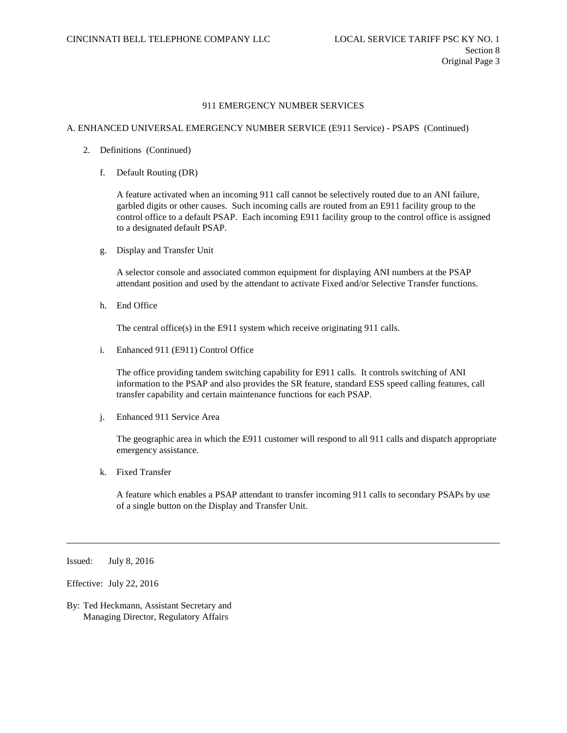#### A. ENHANCED UNIVERSAL EMERGENCY NUMBER SERVICE (E911 Service) - PSAPS (Continued)

- 2. Definitions (Continued)
	- f. Default Routing (DR)

A feature activated when an incoming 911 call cannot be selectively routed due to an ANI failure, garbled digits or other causes. Such incoming calls are routed from an E911 facility group to the control office to a default PSAP. Each incoming E911 facility group to the control office is assigned to a designated default PSAP.

g. Display and Transfer Unit

A selector console and associated common equipment for displaying ANI numbers at the PSAP attendant position and used by the attendant to activate Fixed and/or Selective Transfer functions.

h. End Office

The central office(s) in the E911 system which receive originating 911 calls.

i. Enhanced 911 (E911) Control Office

The office providing tandem switching capability for E911 calls. It controls switching of ANI information to the PSAP and also provides the SR feature, standard ESS speed calling features, call transfer capability and certain maintenance functions for each PSAP.

j. Enhanced 911 Service Area

The geographic area in which the E911 customer will respond to all 911 calls and dispatch appropriate emergency assistance.

k. Fixed Transfer

A feature which enables a PSAP attendant to transfer incoming 911 calls to secondary PSAPs by use of a single button on the Display and Transfer Unit.

Issued: July 8, 2016

Effective: July 22, 2016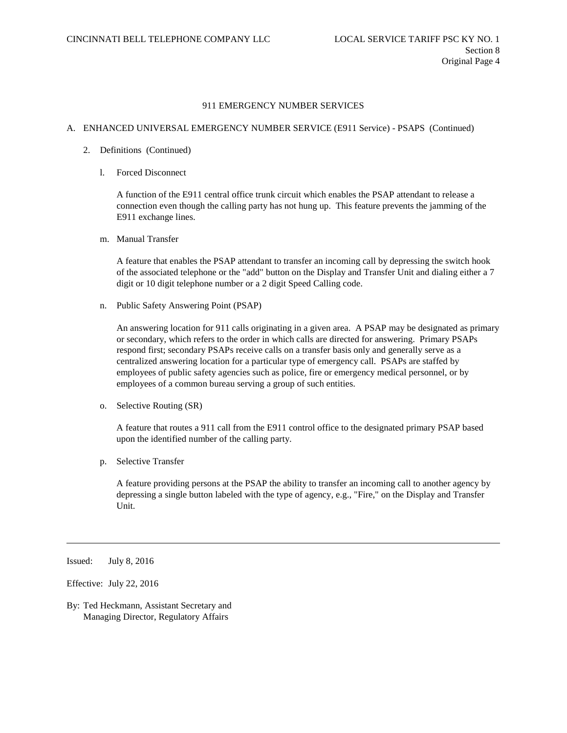## A. ENHANCED UNIVERSAL EMERGENCY NUMBER SERVICE (E911 Service) - PSAPS (Continued)

- 2. Definitions (Continued)
	- l. Forced Disconnect

A function of the E911 central office trunk circuit which enables the PSAP attendant to release a connection even though the calling party has not hung up. This feature prevents the jamming of the E911 exchange lines.

m. Manual Transfer

A feature that enables the PSAP attendant to transfer an incoming call by depressing the switch hook of the associated telephone or the "add" button on the Display and Transfer Unit and dialing either a 7 digit or 10 digit telephone number or a 2 digit Speed Calling code.

n. Public Safety Answering Point (PSAP)

An answering location for 911 calls originating in a given area. A PSAP may be designated as primary or secondary, which refers to the order in which calls are directed for answering. Primary PSAPs respond first; secondary PSAPs receive calls on a transfer basis only and generally serve as a centralized answering location for a particular type of emergency call. PSAPs are staffed by employees of public safety agencies such as police, fire or emergency medical personnel, or by employees of a common bureau serving a group of such entities.

o. Selective Routing (SR)

A feature that routes a 911 call from the E911 control office to the designated primary PSAP based upon the identified number of the calling party.

p. Selective Transfer

A feature providing persons at the PSAP the ability to transfer an incoming call to another agency by depressing a single button labeled with the type of agency, e.g., "Fire," on the Display and Transfer Unit.

Issued: July 8, 2016

Effective: July 22, 2016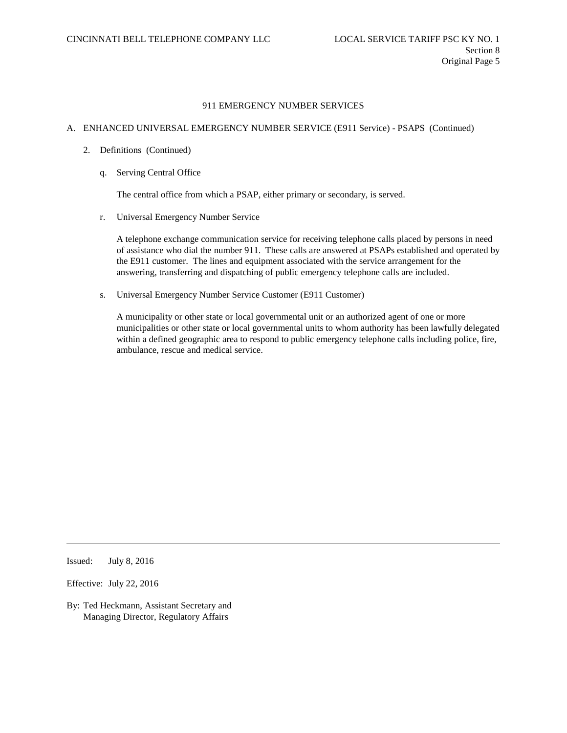# A. ENHANCED UNIVERSAL EMERGENCY NUMBER SERVICE (E911 Service) - PSAPS (Continued)

- 2. Definitions (Continued)
	- q. Serving Central Office

The central office from which a PSAP, either primary or secondary, is served.

r. Universal Emergency Number Service

A telephone exchange communication service for receiving telephone calls placed by persons in need of assistance who dial the number 911. These calls are answered at PSAPs established and operated by the E911 customer. The lines and equipment associated with the service arrangement for the answering, transferring and dispatching of public emergency telephone calls are included.

s. Universal Emergency Number Service Customer (E911 Customer)

A municipality or other state or local governmental unit or an authorized agent of one or more municipalities or other state or local governmental units to whom authority has been lawfully delegated within a defined geographic area to respond to public emergency telephone calls including police, fire, ambulance, rescue and medical service.

Issued: July 8, 2016

Effective: July 22, 2016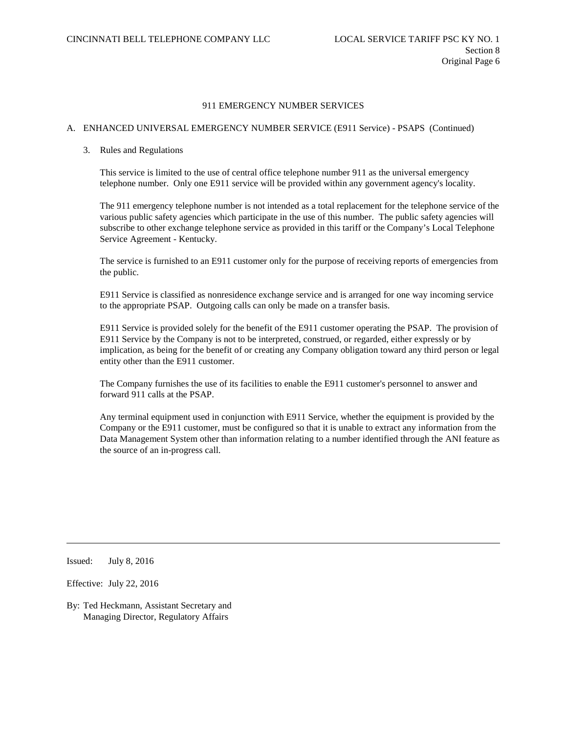## A. ENHANCED UNIVERSAL EMERGENCY NUMBER SERVICE (E911 Service) - PSAPS (Continued)

### 3. Rules and Regulations

This service is limited to the use of central office telephone number 911 as the universal emergency telephone number. Only one E911 service will be provided within any government agency's locality.

The 911 emergency telephone number is not intended as a total replacement for the telephone service of the various public safety agencies which participate in the use of this number. The public safety agencies will subscribe to other exchange telephone service as provided in this tariff or the Company's Local Telephone Service Agreement - Kentucky.

The service is furnished to an E911 customer only for the purpose of receiving reports of emergencies from the public.

E911 Service is classified as nonresidence exchange service and is arranged for one way incoming service to the appropriate PSAP. Outgoing calls can only be made on a transfer basis.

E911 Service is provided solely for the benefit of the E911 customer operating the PSAP. The provision of E911 Service by the Company is not to be interpreted, construed, or regarded, either expressly or by implication, as being for the benefit of or creating any Company obligation toward any third person or legal entity other than the E911 customer.

The Company furnishes the use of its facilities to enable the E911 customer's personnel to answer and forward 911 calls at the PSAP.

Any terminal equipment used in conjunction with E911 Service, whether the equipment is provided by the Company or the E911 customer, must be configured so that it is unable to extract any information from the Data Management System other than information relating to a number identified through the ANI feature as the source of an in-progress call.

Issued: July 8, 2016

Effective: July 22, 2016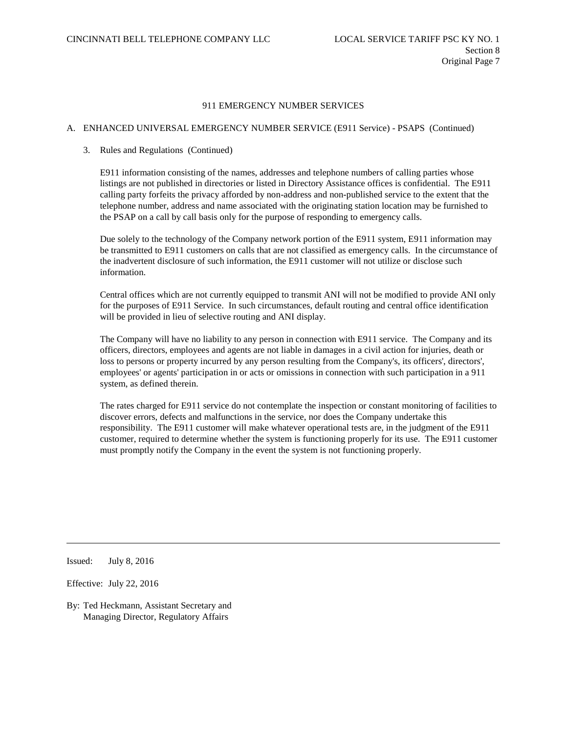# A. ENHANCED UNIVERSAL EMERGENCY NUMBER SERVICE (E911 Service) - PSAPS (Continued)

### 3. Rules and Regulations (Continued)

E911 information consisting of the names, addresses and telephone numbers of calling parties whose listings are not published in directories or listed in Directory Assistance offices is confidential. The E911 calling party forfeits the privacy afforded by non-address and non-published service to the extent that the telephone number, address and name associated with the originating station location may be furnished to the PSAP on a call by call basis only for the purpose of responding to emergency calls.

Due solely to the technology of the Company network portion of the E911 system, E911 information may be transmitted to E911 customers on calls that are not classified as emergency calls. In the circumstance of the inadvertent disclosure of such information, the E911 customer will not utilize or disclose such information.

Central offices which are not currently equipped to transmit ANI will not be modified to provide ANI only for the purposes of E911 Service. In such circumstances, default routing and central office identification will be provided in lieu of selective routing and ANI display.

The Company will have no liability to any person in connection with E911 service. The Company and its officers, directors, employees and agents are not liable in damages in a civil action for injuries, death or loss to persons or property incurred by any person resulting from the Company's, its officers', directors', employees' or agents' participation in or acts or omissions in connection with such participation in a 911 system, as defined therein.

The rates charged for E911 service do not contemplate the inspection or constant monitoring of facilities to discover errors, defects and malfunctions in the service, nor does the Company undertake this responsibility. The E911 customer will make whatever operational tests are, in the judgment of the E911 customer, required to determine whether the system is functioning properly for its use. The E911 customer must promptly notify the Company in the event the system is not functioning properly.

Issued: July 8, 2016

Effective: July 22, 2016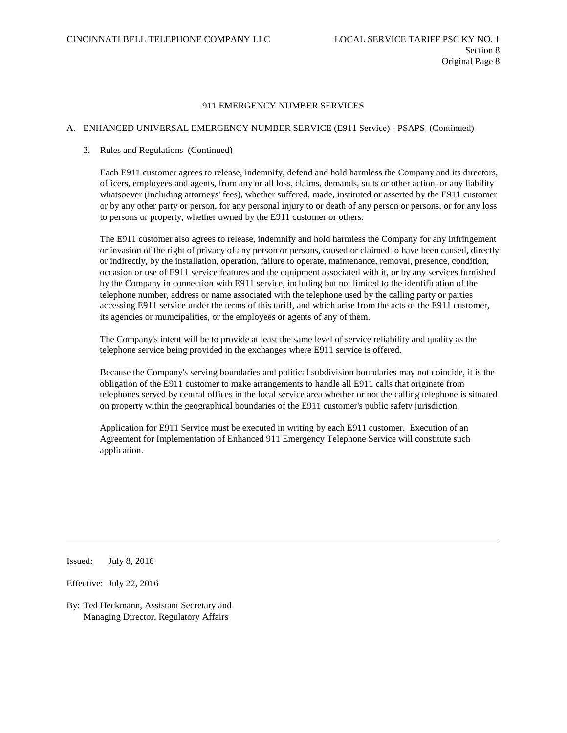# A. ENHANCED UNIVERSAL EMERGENCY NUMBER SERVICE (E911 Service) - PSAPS (Continued)

### 3. Rules and Regulations (Continued)

Each E911 customer agrees to release, indemnify, defend and hold harmless the Company and its directors, officers, employees and agents, from any or all loss, claims, demands, suits or other action, or any liability whatsoever (including attorneys' fees), whether suffered, made, instituted or asserted by the E911 customer or by any other party or person, for any personal injury to or death of any person or persons, or for any loss to persons or property, whether owned by the E911 customer or others.

The E911 customer also agrees to release, indemnify and hold harmless the Company for any infringement or invasion of the right of privacy of any person or persons, caused or claimed to have been caused, directly or indirectly, by the installation, operation, failure to operate, maintenance, removal, presence, condition, occasion or use of E911 service features and the equipment associated with it, or by any services furnished by the Company in connection with E911 service, including but not limited to the identification of the telephone number, address or name associated with the telephone used by the calling party or parties accessing E911 service under the terms of this tariff, and which arise from the acts of the E911 customer, its agencies or municipalities, or the employees or agents of any of them.

The Company's intent will be to provide at least the same level of service reliability and quality as the telephone service being provided in the exchanges where E911 service is offered.

Because the Company's serving boundaries and political subdivision boundaries may not coincide, it is the obligation of the E911 customer to make arrangements to handle all E911 calls that originate from telephones served by central offices in the local service area whether or not the calling telephone is situated on property within the geographical boundaries of the E911 customer's public safety jurisdiction.

Application for E911 Service must be executed in writing by each E911 customer. Execution of an Agreement for Implementation of Enhanced 911 Emergency Telephone Service will constitute such application.

Issued: July 8, 2016

Effective: July 22, 2016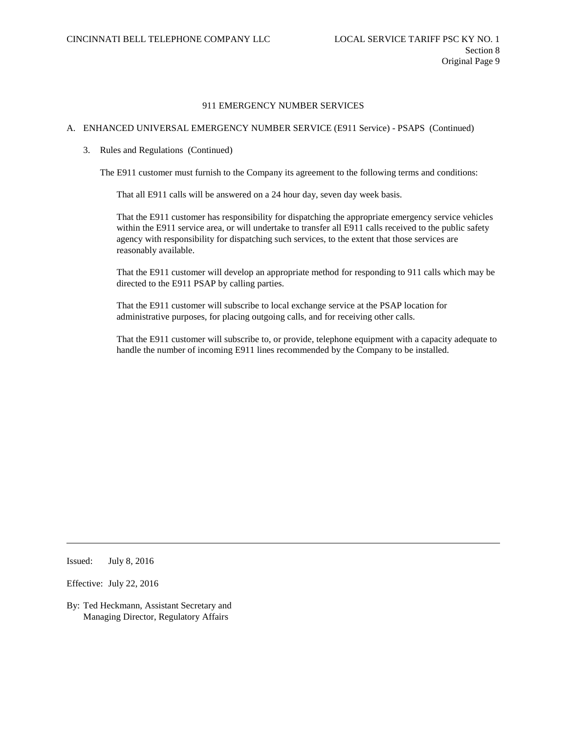# A. ENHANCED UNIVERSAL EMERGENCY NUMBER SERVICE (E911 Service) - PSAPS (Continued)

3. Rules and Regulations (Continued)

The E911 customer must furnish to the Company its agreement to the following terms and conditions:

That all E911 calls will be answered on a 24 hour day, seven day week basis.

That the E911 customer has responsibility for dispatching the appropriate emergency service vehicles within the E911 service area, or will undertake to transfer all E911 calls received to the public safety agency with responsibility for dispatching such services, to the extent that those services are reasonably available.

That the E911 customer will develop an appropriate method for responding to 911 calls which may be directed to the E911 PSAP by calling parties.

That the E911 customer will subscribe to local exchange service at the PSAP location for administrative purposes, for placing outgoing calls, and for receiving other calls.

That the E911 customer will subscribe to, or provide, telephone equipment with a capacity adequate to handle the number of incoming E911 lines recommended by the Company to be installed.

Issued: July 8, 2016

Effective: July 22, 2016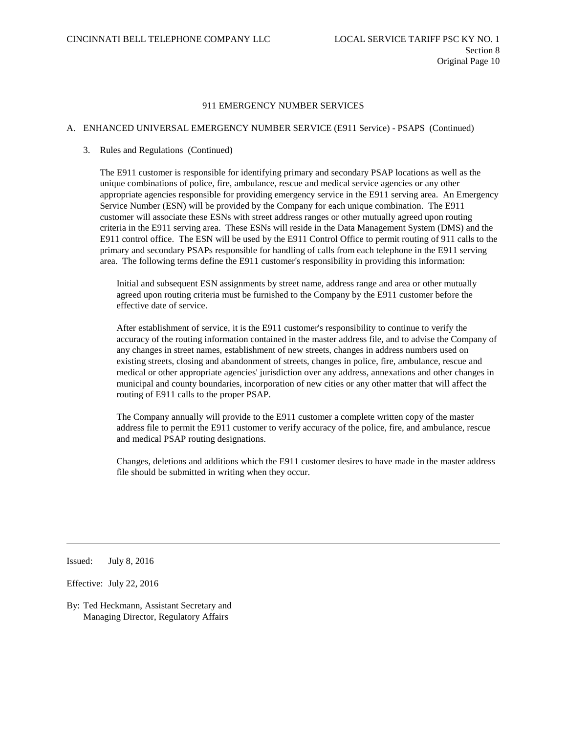## A. ENHANCED UNIVERSAL EMERGENCY NUMBER SERVICE (E911 Service) - PSAPS (Continued)

#### 3. Rules and Regulations (Continued)

The E911 customer is responsible for identifying primary and secondary PSAP locations as well as the unique combinations of police, fire, ambulance, rescue and medical service agencies or any other appropriate agencies responsible for providing emergency service in the E911 serving area. An Emergency Service Number (ESN) will be provided by the Company for each unique combination. The E911 customer will associate these ESNs with street address ranges or other mutually agreed upon routing criteria in the E911 serving area. These ESNs will reside in the Data Management System (DMS) and the E911 control office. The ESN will be used by the E911 Control Office to permit routing of 911 calls to the primary and secondary PSAPs responsible for handling of calls from each telephone in the E911 serving area. The following terms define the E911 customer's responsibility in providing this information:

Initial and subsequent ESN assignments by street name, address range and area or other mutually agreed upon routing criteria must be furnished to the Company by the E911 customer before the effective date of service.

After establishment of service, it is the E911 customer's responsibility to continue to verify the accuracy of the routing information contained in the master address file, and to advise the Company of any changes in street names, establishment of new streets, changes in address numbers used on existing streets, closing and abandonment of streets, changes in police, fire, ambulance, rescue and medical or other appropriate agencies' jurisdiction over any address, annexations and other changes in municipal and county boundaries, incorporation of new cities or any other matter that will affect the routing of E911 calls to the proper PSAP.

The Company annually will provide to the E911 customer a complete written copy of the master address file to permit the E911 customer to verify accuracy of the police, fire, and ambulance, rescue and medical PSAP routing designations.

Changes, deletions and additions which the E911 customer desires to have made in the master address file should be submitted in writing when they occur.

Issued: July 8, 2016

Effective: July 22, 2016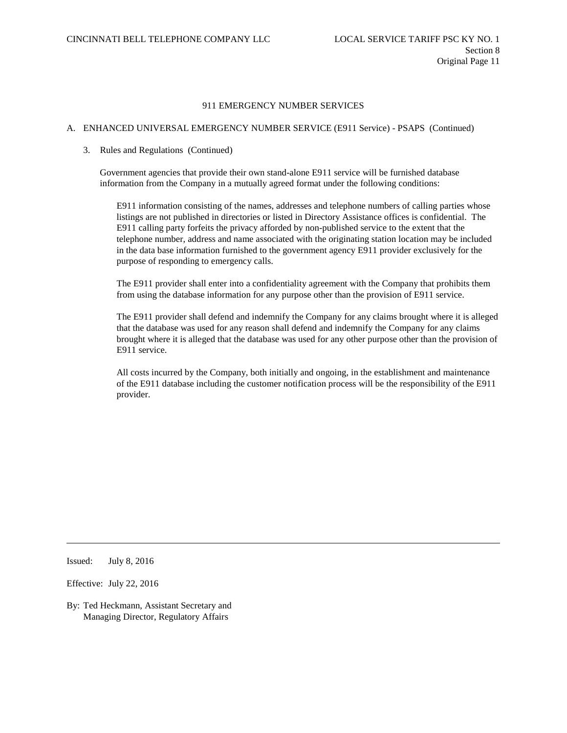## A. ENHANCED UNIVERSAL EMERGENCY NUMBER SERVICE (E911 Service) - PSAPS (Continued)

#### 3. Rules and Regulations (Continued)

Government agencies that provide their own stand-alone E911 service will be furnished database information from the Company in a mutually agreed format under the following conditions:

E911 information consisting of the names, addresses and telephone numbers of calling parties whose listings are not published in directories or listed in Directory Assistance offices is confidential. The E911 calling party forfeits the privacy afforded by non-published service to the extent that the telephone number, address and name associated with the originating station location may be included in the data base information furnished to the government agency E911 provider exclusively for the purpose of responding to emergency calls.

The E911 provider shall enter into a confidentiality agreement with the Company that prohibits them from using the database information for any purpose other than the provision of E911 service.

The E911 provider shall defend and indemnify the Company for any claims brought where it is alleged that the database was used for any reason shall defend and indemnify the Company for any claims brought where it is alleged that the database was used for any other purpose other than the provision of E911 service.

All costs incurred by the Company, both initially and ongoing, in the establishment and maintenance of the E911 database including the customer notification process will be the responsibility of the E911 provider.

Issued: July 8, 2016

Effective: July 22, 2016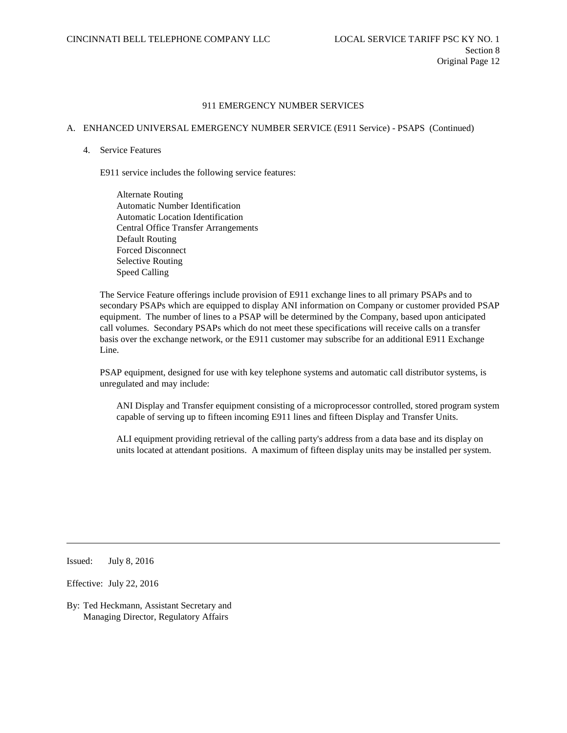# A. ENHANCED UNIVERSAL EMERGENCY NUMBER SERVICE (E911 Service) - PSAPS (Continued)

#### 4. Service Features

E911 service includes the following service features:

Alternate Routing Automatic Number Identification Automatic Location Identification Central Office Transfer Arrangements Default Routing Forced Disconnect Selective Routing Speed Calling

The Service Feature offerings include provision of E911 exchange lines to all primary PSAPs and to secondary PSAPs which are equipped to display ANI information on Company or customer provided PSAP equipment. The number of lines to a PSAP will be determined by the Company, based upon anticipated call volumes. Secondary PSAPs which do not meet these specifications will receive calls on a transfer basis over the exchange network, or the E911 customer may subscribe for an additional E911 Exchange Line.

PSAP equipment, designed for use with key telephone systems and automatic call distributor systems, is unregulated and may include:

ANI Display and Transfer equipment consisting of a microprocessor controlled, stored program system capable of serving up to fifteen incoming E911 lines and fifteen Display and Transfer Units.

ALI equipment providing retrieval of the calling party's address from a data base and its display on units located at attendant positions. A maximum of fifteen display units may be installed per system.

Issued: July 8, 2016

Effective: July 22, 2016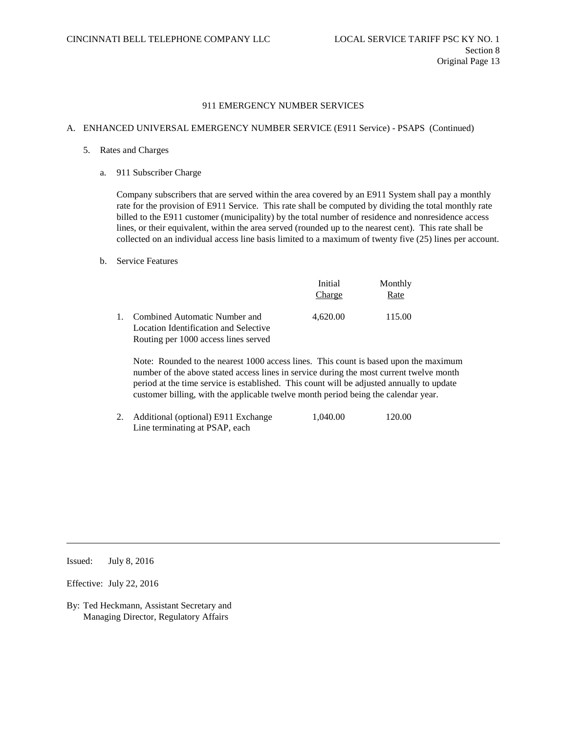## A. ENHANCED UNIVERSAL EMERGENCY NUMBER SERVICE (E911 Service) - PSAPS (Continued)

- 5. Rates and Charges
	- a. 911 Subscriber Charge

Company subscribers that are served within the area covered by an E911 System shall pay a monthly rate for the provision of E911 Service. This rate shall be computed by dividing the total monthly rate billed to the E911 customer (municipality) by the total number of residence and nonresidence access lines, or their equivalent, within the area served (rounded up to the nearest cent). This rate shall be collected on an individual access line basis limited to a maximum of twenty five (25) lines per account.

#### b. Service Features

|                                                                           | Initial<br>Charge | Monthly<br>Rate |
|---------------------------------------------------------------------------|-------------------|-----------------|
| 1. Combined Automatic Number and<br>Location Identification and Selective | 4.620.00          | 115.00          |
| Routing per 1000 access lines served                                      |                   |                 |

Note: Rounded to the nearest 1000 access lines. This count is based upon the maximum number of the above stated access lines in service during the most current twelve month period at the time service is established. This count will be adjusted annually to update customer billing, with the applicable twelve month period being the calendar year.

2. Additional (optional) E911 Exchange 1,040.00 120.00 Line terminating at PSAP, each

Issued: July 8, 2016

Effective: July 22, 2016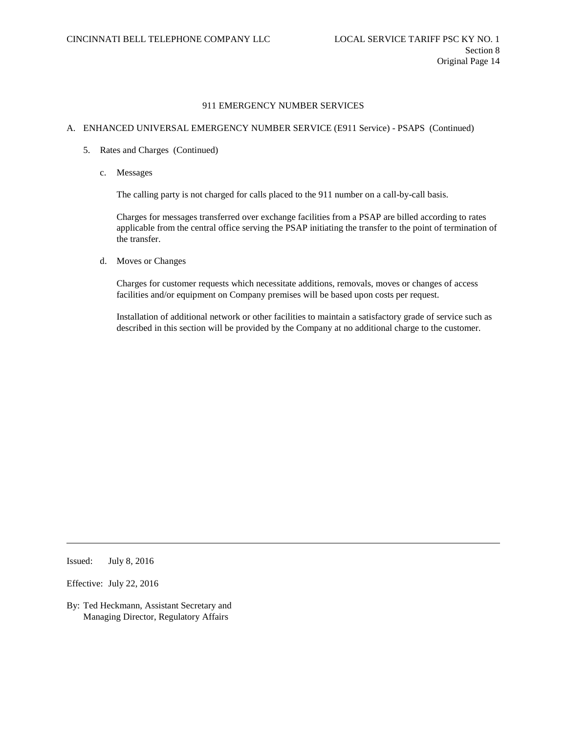# A. ENHANCED UNIVERSAL EMERGENCY NUMBER SERVICE (E911 Service) - PSAPS (Continued)

- 5. Rates and Charges (Continued)
	- c. Messages

The calling party is not charged for calls placed to the 911 number on a call-by-call basis.

Charges for messages transferred over exchange facilities from a PSAP are billed according to rates applicable from the central office serving the PSAP initiating the transfer to the point of termination of the transfer.

d. Moves or Changes

Charges for customer requests which necessitate additions, removals, moves or changes of access facilities and/or equipment on Company premises will be based upon costs per request.

Installation of additional network or other facilities to maintain a satisfactory grade of service such as described in this section will be provided by the Company at no additional charge to the customer.

Issued: July 8, 2016

Effective: July 22, 2016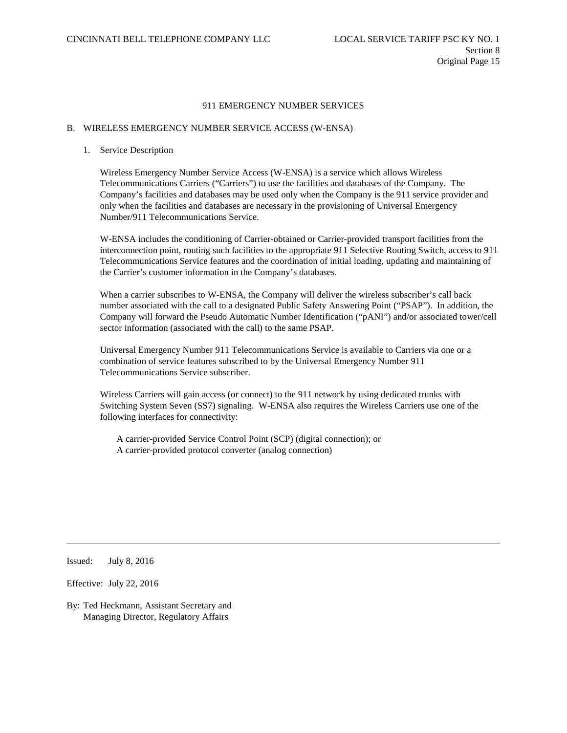#### B. WIRELESS EMERGENCY NUMBER SERVICE ACCESS (W-ENSA)

#### 1. Service Description

Wireless Emergency Number Service Access (W-ENSA) is a service which allows Wireless Telecommunications Carriers ("Carriers") to use the facilities and databases of the Company. The Company's facilities and databases may be used only when the Company is the 911 service provider and only when the facilities and databases are necessary in the provisioning of Universal Emergency Number/911 Telecommunications Service.

W-ENSA includes the conditioning of Carrier-obtained or Carrier-provided transport facilities from the interconnection point, routing such facilities to the appropriate 911 Selective Routing Switch, access to 911 Telecommunications Service features and the coordination of initial loading, updating and maintaining of the Carrier's customer information in the Company's databases.

When a carrier subscribes to W-ENSA, the Company will deliver the wireless subscriber's call back number associated with the call to a designated Public Safety Answering Point ("PSAP"). In addition, the Company will forward the Pseudo Automatic Number Identification ("pANI") and/or associated tower/cell sector information (associated with the call) to the same PSAP.

Universal Emergency Number 911 Telecommunications Service is available to Carriers via one or a combination of service features subscribed to by the Universal Emergency Number 911 Telecommunications Service subscriber.

Wireless Carriers will gain access (or connect) to the 911 network by using dedicated trunks with Switching System Seven (SS7) signaling. W-ENSA also requires the Wireless Carriers use one of the following interfaces for connectivity:

A carrier-provided Service Control Point (SCP) (digital connection); or A carrier-provided protocol converter (analog connection)

Issued: July 8, 2016

Effective: July 22, 2016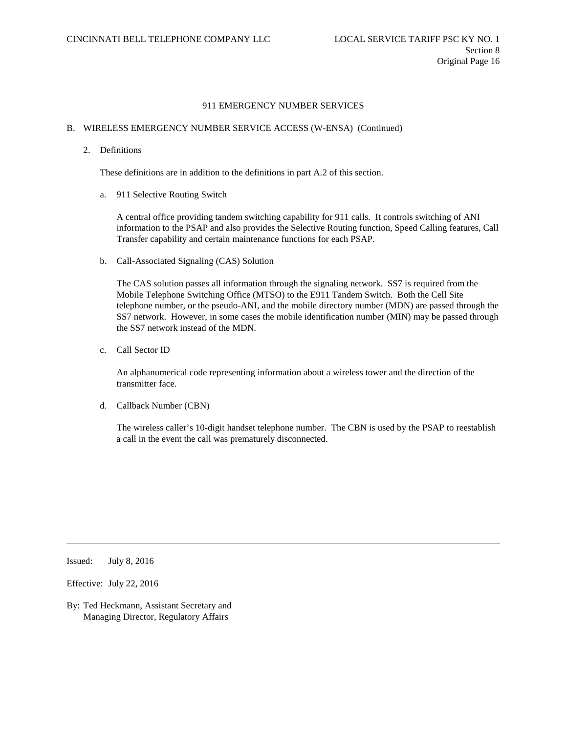## B. WIRELESS EMERGENCY NUMBER SERVICE ACCESS (W-ENSA) (Continued)

2. Definitions

These definitions are in addition to the definitions in part A.2 of this section.

a. 911 Selective Routing Switch

A central office providing tandem switching capability for 911 calls. It controls switching of ANI information to the PSAP and also provides the Selective Routing function, Speed Calling features, Call Transfer capability and certain maintenance functions for each PSAP.

b. Call-Associated Signaling (CAS) Solution

The CAS solution passes all information through the signaling network. SS7 is required from the Mobile Telephone Switching Office (MTSO) to the E911 Tandem Switch. Both the Cell Site telephone number, or the pseudo-ANI, and the mobile directory number (MDN) are passed through the SS7 network. However, in some cases the mobile identification number (MIN) may be passed through the SS7 network instead of the MDN.

c. Call Sector ID

An alphanumerical code representing information about a wireless tower and the direction of the transmitter face.

d. Callback Number (CBN)

The wireless caller's 10-digit handset telephone number. The CBN is used by the PSAP to reestablish a call in the event the call was prematurely disconnected.

Issued: July 8, 2016

Effective: July 22, 2016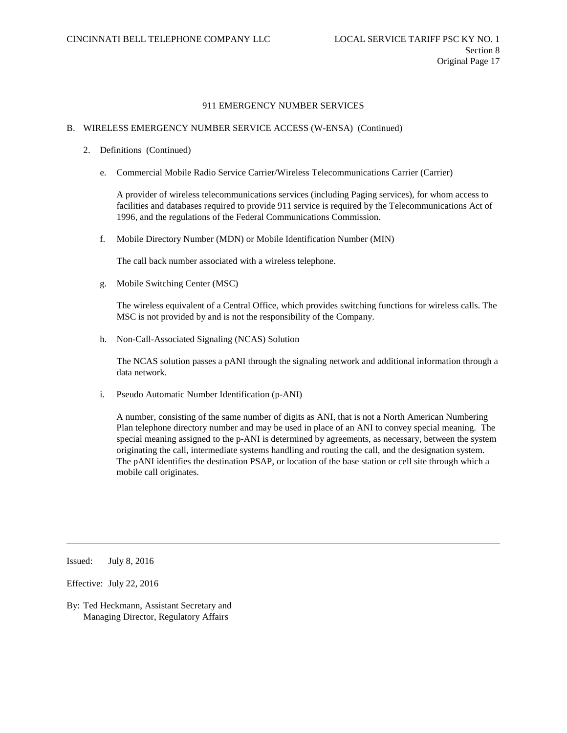### B. WIRELESS EMERGENCY NUMBER SERVICE ACCESS (W-ENSA) (Continued)

- 2. Definitions (Continued)
	- e. Commercial Mobile Radio Service Carrier/Wireless Telecommunications Carrier (Carrier)

A provider of wireless telecommunications services (including Paging services), for whom access to facilities and databases required to provide 911 service is required by the Telecommunications Act of 1996, and the regulations of the Federal Communications Commission.

f. Mobile Directory Number (MDN) or Mobile Identification Number (MIN)

The call back number associated with a wireless telephone.

g. Mobile Switching Center (MSC)

The wireless equivalent of a Central Office, which provides switching functions for wireless calls. The MSC is not provided by and is not the responsibility of the Company.

h. Non-Call-Associated Signaling (NCAS) Solution

The NCAS solution passes a pANI through the signaling network and additional information through a data network.

i. Pseudo Automatic Number Identification (p-ANI)

A number, consisting of the same number of digits as ANI, that is not a North American Numbering Plan telephone directory number and may be used in place of an ANI to convey special meaning. The special meaning assigned to the p-ANI is determined by agreements, as necessary, between the system originating the call, intermediate systems handling and routing the call, and the designation system. The pANI identifies the destination PSAP, or location of the base station or cell site through which a mobile call originates.

Issued: July 8, 2016

Effective: July 22, 2016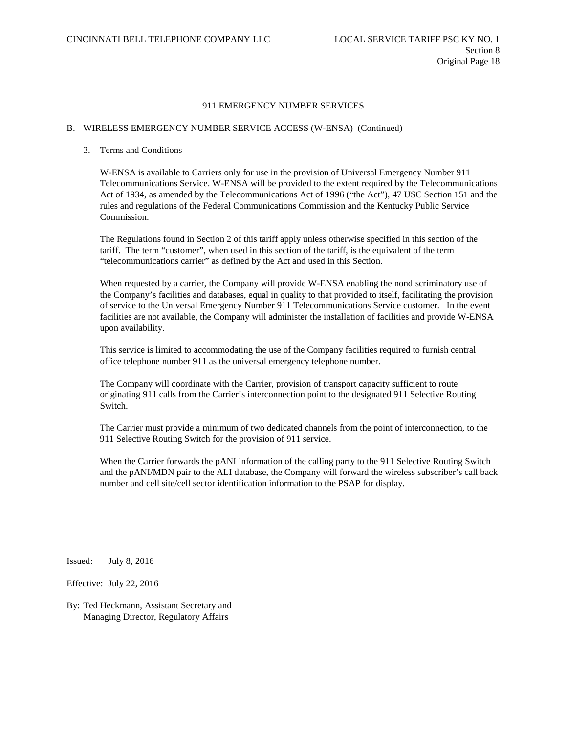### B. WIRELESS EMERGENCY NUMBER SERVICE ACCESS (W-ENSA) (Continued)

### 3. Terms and Conditions

W-ENSA is available to Carriers only for use in the provision of Universal Emergency Number 911 Telecommunications Service. W-ENSA will be provided to the extent required by the Telecommunications Act of 1934, as amended by the Telecommunications Act of 1996 ("the Act"), 47 USC Section 151 and the rules and regulations of the Federal Communications Commission and the Kentucky Public Service Commission.

The Regulations found in Section 2 of this tariff apply unless otherwise specified in this section of the tariff. The term "customer", when used in this section of the tariff, is the equivalent of the term "telecommunications carrier" as defined by the Act and used in this Section.

When requested by a carrier, the Company will provide W-ENSA enabling the nondiscriminatory use of the Company's facilities and databases, equal in quality to that provided to itself, facilitating the provision of service to the Universal Emergency Number 911 Telecommunications Service customer. In the event facilities are not available, the Company will administer the installation of facilities and provide W-ENSA upon availability.

This service is limited to accommodating the use of the Company facilities required to furnish central office telephone number 911 as the universal emergency telephone number.

The Company will coordinate with the Carrier, provision of transport capacity sufficient to route originating 911 calls from the Carrier's interconnection point to the designated 911 Selective Routing Switch.

The Carrier must provide a minimum of two dedicated channels from the point of interconnection, to the 911 Selective Routing Switch for the provision of 911 service.

When the Carrier forwards the pANI information of the calling party to the 911 Selective Routing Switch and the pANI/MDN pair to the ALI database, the Company will forward the wireless subscriber's call back number and cell site/cell sector identification information to the PSAP for display.

Issued: July 8, 2016

Effective: July 22, 2016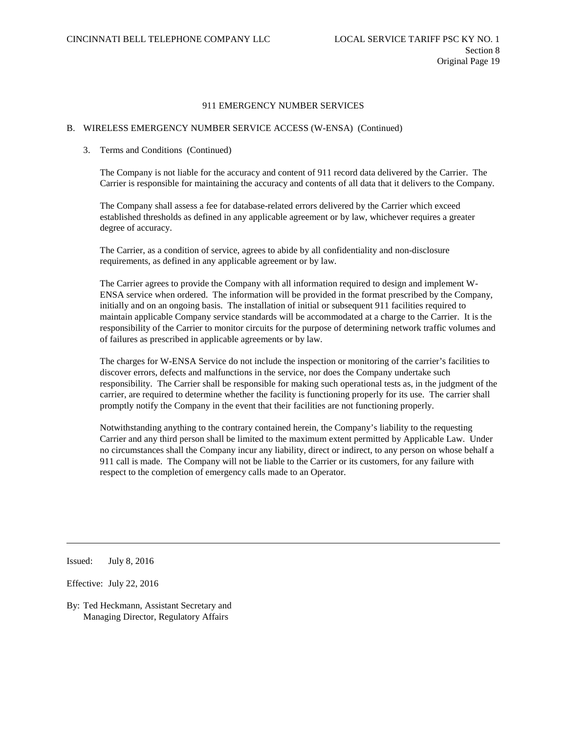## B. WIRELESS EMERGENCY NUMBER SERVICE ACCESS (W-ENSA) (Continued)

#### 3. Terms and Conditions (Continued)

The Company is not liable for the accuracy and content of 911 record data delivered by the Carrier. The Carrier is responsible for maintaining the accuracy and contents of all data that it delivers to the Company.

The Company shall assess a fee for database-related errors delivered by the Carrier which exceed established thresholds as defined in any applicable agreement or by law, whichever requires a greater degree of accuracy.

The Carrier, as a condition of service, agrees to abide by all confidentiality and non-disclosure requirements, as defined in any applicable agreement or by law.

The Carrier agrees to provide the Company with all information required to design and implement W-ENSA service when ordered. The information will be provided in the format prescribed by the Company, initially and on an ongoing basis. The installation of initial or subsequent 911 facilities required to maintain applicable Company service standards will be accommodated at a charge to the Carrier. It is the responsibility of the Carrier to monitor circuits for the purpose of determining network traffic volumes and of failures as prescribed in applicable agreements or by law.

The charges for W-ENSA Service do not include the inspection or monitoring of the carrier's facilities to discover errors, defects and malfunctions in the service, nor does the Company undertake such responsibility. The Carrier shall be responsible for making such operational tests as, in the judgment of the carrier, are required to determine whether the facility is functioning properly for its use. The carrier shall promptly notify the Company in the event that their facilities are not functioning properly.

Notwithstanding anything to the contrary contained herein, the Company's liability to the requesting Carrier and any third person shall be limited to the maximum extent permitted by Applicable Law. Under no circumstances shall the Company incur any liability, direct or indirect, to any person on whose behalf a 911 call is made. The Company will not be liable to the Carrier or its customers, for any failure with respect to the completion of emergency calls made to an Operator.

Issued: July 8, 2016

Effective: July 22, 2016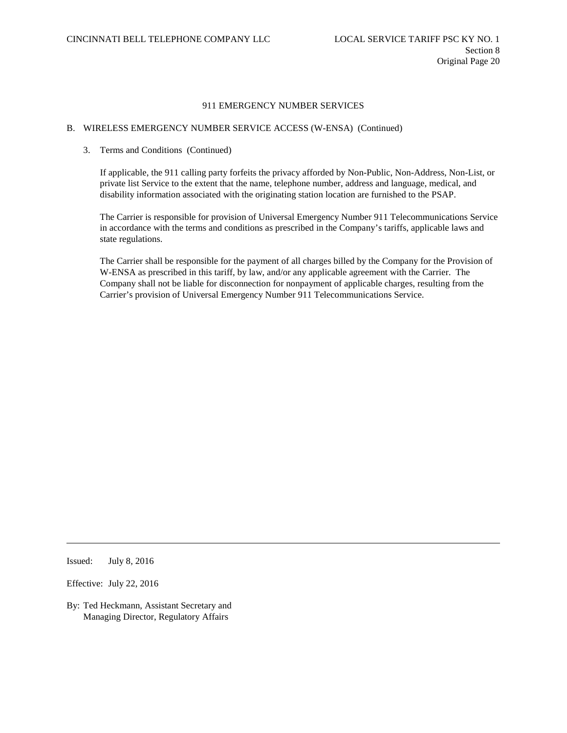# B. WIRELESS EMERGENCY NUMBER SERVICE ACCESS (W-ENSA) (Continued)

## 3. Terms and Conditions (Continued)

If applicable, the 911 calling party forfeits the privacy afforded by Non-Public, Non-Address, Non-List, or private list Service to the extent that the name, telephone number, address and language, medical, and disability information associated with the originating station location are furnished to the PSAP.

The Carrier is responsible for provision of Universal Emergency Number 911 Telecommunications Service in accordance with the terms and conditions as prescribed in the Company's tariffs, applicable laws and state regulations.

The Carrier shall be responsible for the payment of all charges billed by the Company for the Provision of W-ENSA as prescribed in this tariff, by law, and/or any applicable agreement with the Carrier. The Company shall not be liable for disconnection for nonpayment of applicable charges, resulting from the Carrier's provision of Universal Emergency Number 911 Telecommunications Service.

Issued: July 8, 2016

Effective: July 22, 2016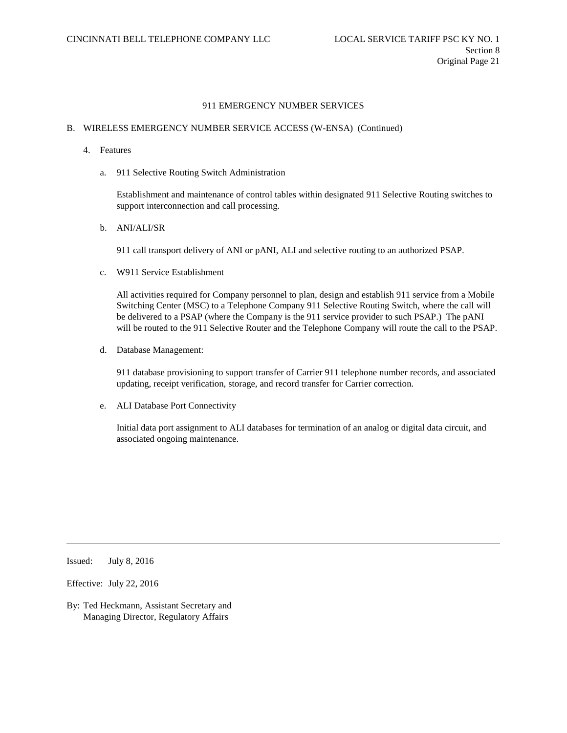## B. WIRELESS EMERGENCY NUMBER SERVICE ACCESS (W-ENSA) (Continued)

- 4. Features
	- a. 911 Selective Routing Switch Administration

Establishment and maintenance of control tables within designated 911 Selective Routing switches to support interconnection and call processing.

b. ANI/ALI/SR

911 call transport delivery of ANI or pANI, ALI and selective routing to an authorized PSAP.

c. W911 Service Establishment

All activities required for Company personnel to plan, design and establish 911 service from a Mobile Switching Center (MSC) to a Telephone Company 911 Selective Routing Switch, where the call will be delivered to a PSAP (where the Company is the 911 service provider to such PSAP.) The pANI will be routed to the 911 Selective Router and the Telephone Company will route the call to the PSAP.

d. Database Management:

911 database provisioning to support transfer of Carrier 911 telephone number records, and associated updating, receipt verification, storage, and record transfer for Carrier correction.

e. ALI Database Port Connectivity

Initial data port assignment to ALI databases for termination of an analog or digital data circuit, and associated ongoing maintenance.

Issued: July 8, 2016

Effective: July 22, 2016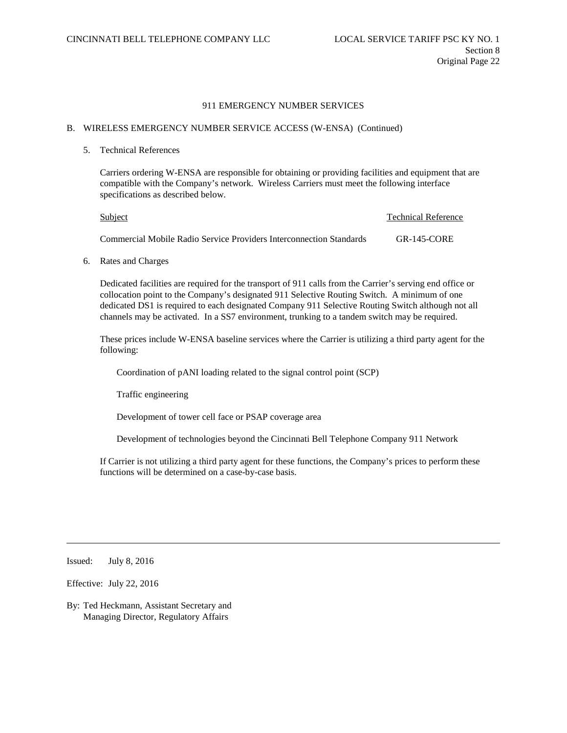#### B. WIRELESS EMERGENCY NUMBER SERVICE ACCESS (W-ENSA) (Continued)

#### 5. Technical References

Carriers ordering W-ENSA are responsible for obtaining or providing facilities and equipment that are compatible with the Company's network. Wireless Carriers must meet the following interface specifications as described below.

| Subject                                                             | Technical Reference |
|---------------------------------------------------------------------|---------------------|
| Commercial Mobile Radio Service Providers Interconnection Standards | $GR-145-CORE$       |

6. Rates and Charges

Dedicated facilities are required for the transport of 911 calls from the Carrier's serving end office or collocation point to the Company's designated 911 Selective Routing Switch. A minimum of one dedicated DS1 is required to each designated Company 911 Selective Routing Switch although not all channels may be activated. In a SS7 environment, trunking to a tandem switch may be required.

These prices include W-ENSA baseline services where the Carrier is utilizing a third party agent for the following:

Coordination of pANI loading related to the signal control point (SCP)

Traffic engineering

Development of tower cell face or PSAP coverage area

Development of technologies beyond the Cincinnati Bell Telephone Company 911 Network

If Carrier is not utilizing a third party agent for these functions, the Company's prices to perform these functions will be determined on a case-by-case basis.

Issued: July 8, 2016

Effective: July 22, 2016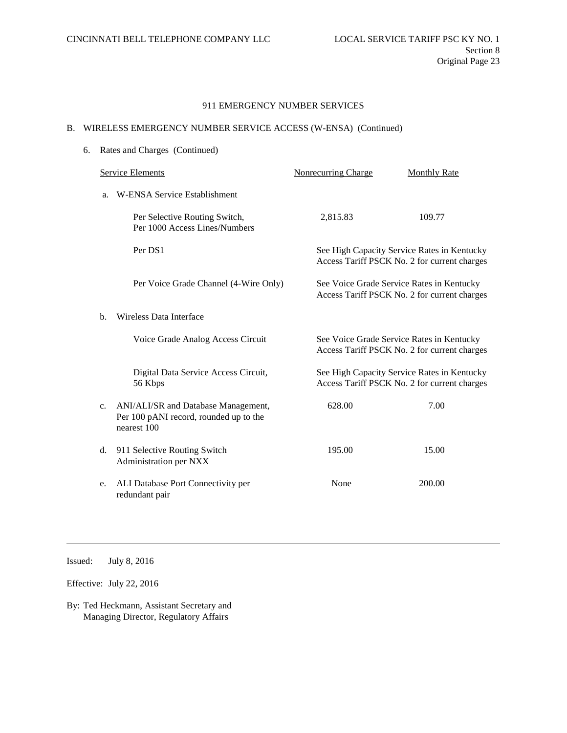# B. WIRELESS EMERGENCY NUMBER SERVICE ACCESS (W-ENSA) (Continued)

| 6. |                                    | Rates and Charges (Continued)                                                                |                                                                                             |                                                                                             |  |  |
|----|------------------------------------|----------------------------------------------------------------------------------------------|---------------------------------------------------------------------------------------------|---------------------------------------------------------------------------------------------|--|--|
|    | <b>Service Elements</b>            |                                                                                              | <b>Nonrecurring Charge</b>                                                                  | <b>Monthly Rate</b>                                                                         |  |  |
|    | W-ENSA Service Establishment<br>a. |                                                                                              |                                                                                             |                                                                                             |  |  |
|    |                                    | Per Selective Routing Switch,<br>Per 1000 Access Lines/Numbers                               | 2,815.83                                                                                    | 109.77                                                                                      |  |  |
|    |                                    | Per DS1                                                                                      |                                                                                             | See High Capacity Service Rates in Kentucky<br>Access Tariff PSCK No. 2 for current charges |  |  |
|    |                                    | Per Voice Grade Channel (4-Wire Only)                                                        |                                                                                             | See Voice Grade Service Rates in Kentucky<br>Access Tariff PSCK No. 2 for current charges   |  |  |
|    | $\mathbf{b}$ .                     | <b>Wireless Data Interface</b>                                                               |                                                                                             |                                                                                             |  |  |
|    |                                    | Voice Grade Analog Access Circuit                                                            |                                                                                             | See Voice Grade Service Rates in Kentucky<br>Access Tariff PSCK No. 2 for current charges   |  |  |
|    |                                    | Digital Data Service Access Circuit,<br>56 Kbps                                              | See High Capacity Service Rates in Kentucky<br>Access Tariff PSCK No. 2 for current charges |                                                                                             |  |  |
|    | c.                                 | ANI/ALI/SR and Database Management,<br>Per 100 pANI record, rounded up to the<br>nearest 100 | 628.00                                                                                      | 7.00                                                                                        |  |  |
|    | d.                                 | 911 Selective Routing Switch<br>Administration per NXX                                       | 195.00                                                                                      | 15.00                                                                                       |  |  |
|    | e.                                 | ALI Database Port Connectivity per<br>redundant pair                                         | None                                                                                        | 200.00                                                                                      |  |  |

Issued: July 8, 2016

Effective: July 22, 2016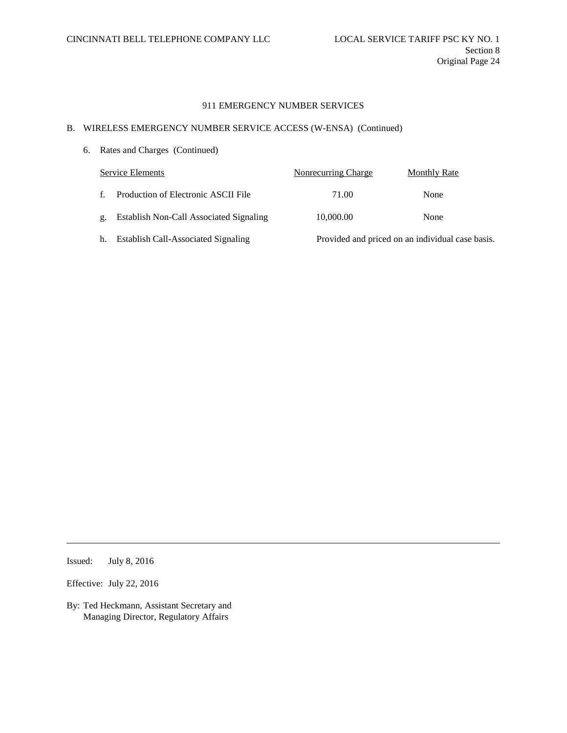# B. WIRELESS EMERGENCY NUMBER SERVICE ACCESS (W-ENSA) (Continued)

6. Rates and Charges (Continued)

| Service Elements |                                         | Nonrecurring Charge | Monthly Rate                                     |
|------------------|-----------------------------------------|---------------------|--------------------------------------------------|
| f.               | Production of Electronic ASCII File     | 71.00               | None                                             |
| g.               | Establish Non-Call Associated Signaling | 10,000.00           | None                                             |
| h.               | Establish Call-Associated Signaling     |                     | Provided and priced on an individual case basis. |

Issued: July 8, 2016

Effective: July 22, 2016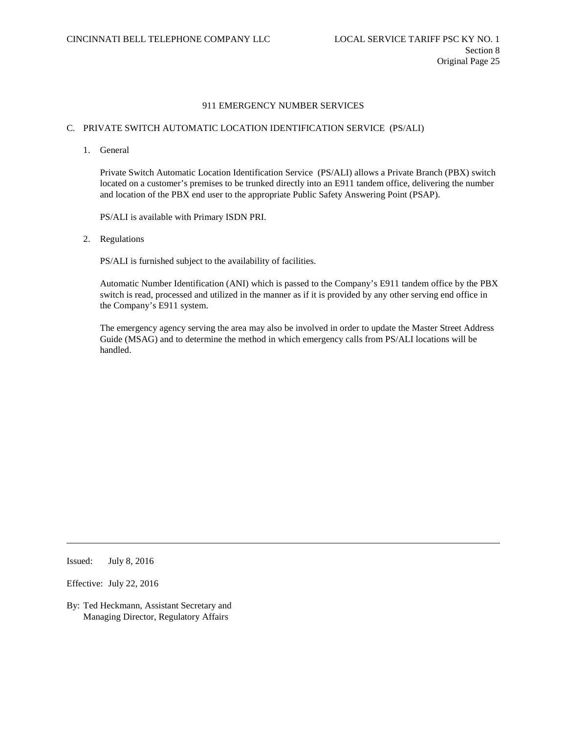# C. PRIVATE SWITCH AUTOMATIC LOCATION IDENTIFICATION SERVICE (PS/ALI)

1. General

Private Switch Automatic Location Identification Service (PS/ALI) allows a Private Branch (PBX) switch located on a customer's premises to be trunked directly into an E911 tandem office, delivering the number and location of the PBX end user to the appropriate Public Safety Answering Point (PSAP).

PS/ALI is available with Primary ISDN PRI.

2. Regulations

PS/ALI is furnished subject to the availability of facilities.

Automatic Number Identification (ANI) which is passed to the Company's E911 tandem office by the PBX switch is read, processed and utilized in the manner as if it is provided by any other serving end office in the Company's E911 system.

The emergency agency serving the area may also be involved in order to update the Master Street Address Guide (MSAG) and to determine the method in which emergency calls from PS/ALI locations will be handled.

Issued: July 8, 2016

Effective: July 22, 2016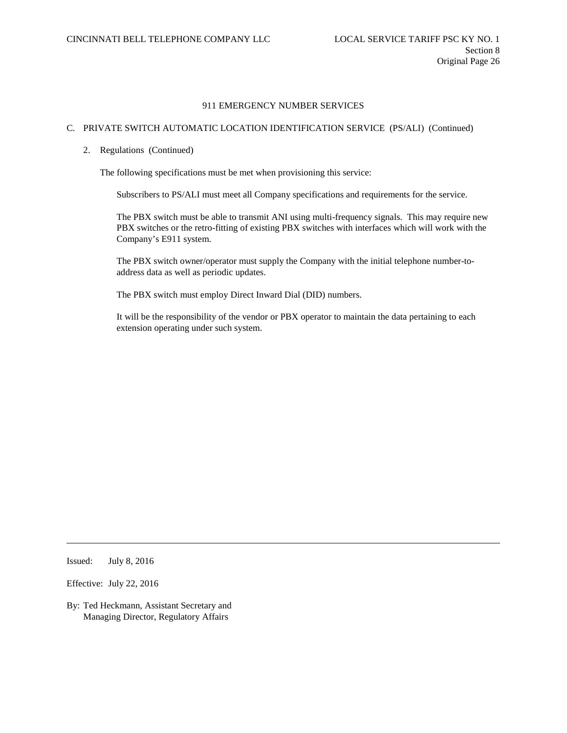# C. PRIVATE SWITCH AUTOMATIC LOCATION IDENTIFICATION SERVICE (PS/ALI) (Continued)

2. Regulations (Continued)

The following specifications must be met when provisioning this service:

Subscribers to PS/ALI must meet all Company specifications and requirements for the service.

The PBX switch must be able to transmit ANI using multi-frequency signals. This may require new PBX switches or the retro-fitting of existing PBX switches with interfaces which will work with the Company's E911 system.

The PBX switch owner/operator must supply the Company with the initial telephone number-toaddress data as well as periodic updates.

The PBX switch must employ Direct Inward Dial (DID) numbers.

It will be the responsibility of the vendor or PBX operator to maintain the data pertaining to each extension operating under such system.

Issued: July 8, 2016

Effective: July 22, 2016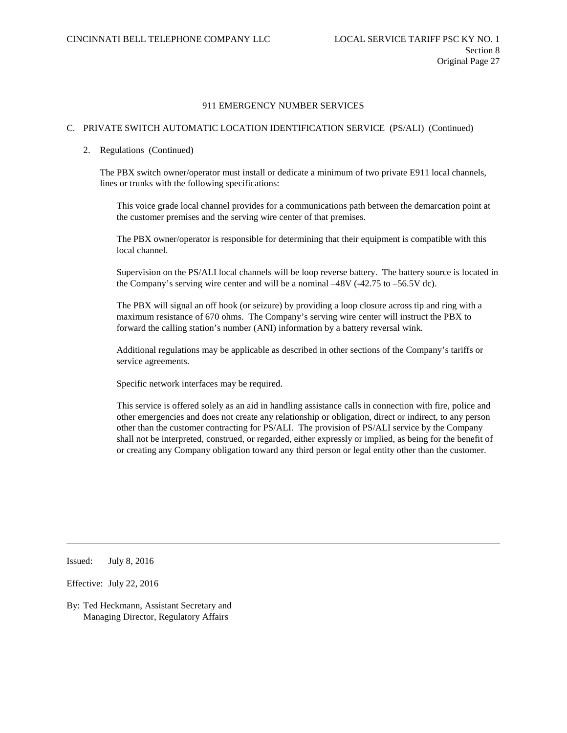# C. PRIVATE SWITCH AUTOMATIC LOCATION IDENTIFICATION SERVICE (PS/ALI) (Continued)

#### 2. Regulations (Continued)

The PBX switch owner/operator must install or dedicate a minimum of two private E911 local channels, lines or trunks with the following specifications:

This voice grade local channel provides for a communications path between the demarcation point at the customer premises and the serving wire center of that premises.

The PBX owner/operator is responsible for determining that their equipment is compatible with this local channel.

Supervision on the PS/ALI local channels will be loop reverse battery. The battery source is located in the Company's serving wire center and will be a nominal –48V (-42.75 to –56.5V dc).

The PBX will signal an off hook (or seizure) by providing a loop closure across tip and ring with a maximum resistance of 670 ohms. The Company's serving wire center will instruct the PBX to forward the calling station's number (ANI) information by a battery reversal wink.

Additional regulations may be applicable as described in other sections of the Company's tariffs or service agreements.

Specific network interfaces may be required.

This service is offered solely as an aid in handling assistance calls in connection with fire, police and other emergencies and does not create any relationship or obligation, direct or indirect, to any person other than the customer contracting for PS/ALI. The provision of PS/ALI service by the Company shall not be interpreted, construed, or regarded, either expressly or implied, as being for the benefit of or creating any Company obligation toward any third person or legal entity other than the customer.

Issued: July 8, 2016

Effective: July 22, 2016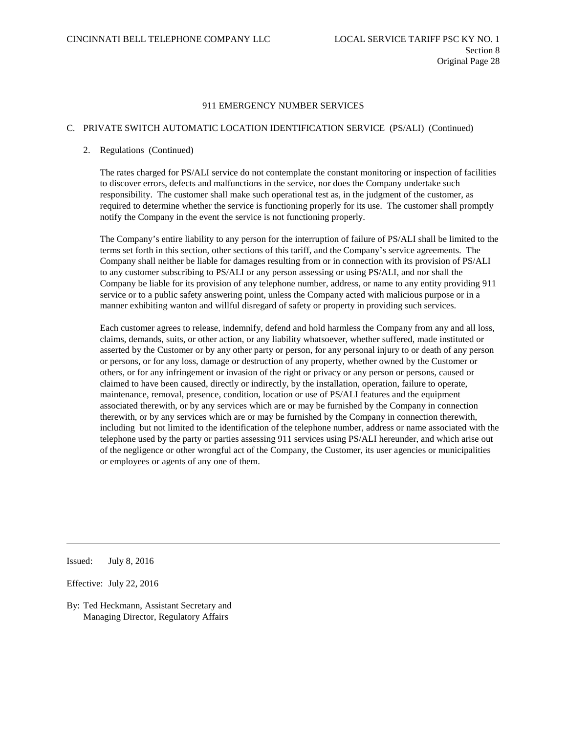# C. PRIVATE SWITCH AUTOMATIC LOCATION IDENTIFICATION SERVICE (PS/ALI) (Continued)

#### 2. Regulations (Continued)

The rates charged for PS/ALI service do not contemplate the constant monitoring or inspection of facilities to discover errors, defects and malfunctions in the service, nor does the Company undertake such responsibility. The customer shall make such operational test as, in the judgment of the customer, as required to determine whether the service is functioning properly for its use. The customer shall promptly notify the Company in the event the service is not functioning properly.

The Company's entire liability to any person for the interruption of failure of PS/ALI shall be limited to the terms set forth in this section, other sections of this tariff, and the Company's service agreements. The Company shall neither be liable for damages resulting from or in connection with its provision of PS/ALI to any customer subscribing to PS/ALI or any person assessing or using PS/ALI, and nor shall the Company be liable for its provision of any telephone number, address, or name to any entity providing 911 service or to a public safety answering point, unless the Company acted with malicious purpose or in a manner exhibiting wanton and willful disregard of safety or property in providing such services.

Each customer agrees to release, indemnify, defend and hold harmless the Company from any and all loss, claims, demands, suits, or other action, or any liability whatsoever, whether suffered, made instituted or asserted by the Customer or by any other party or person, for any personal injury to or death of any person or persons, or for any loss, damage or destruction of any property, whether owned by the Customer or others, or for any infringement or invasion of the right or privacy or any person or persons, caused or claimed to have been caused, directly or indirectly, by the installation, operation, failure to operate, maintenance, removal, presence, condition, location or use of PS/ALI features and the equipment associated therewith, or by any services which are or may be furnished by the Company in connection therewith, or by any services which are or may be furnished by the Company in connection therewith, including but not limited to the identification of the telephone number, address or name associated with the telephone used by the party or parties assessing 911 services using PS/ALI hereunder, and which arise out of the negligence or other wrongful act of the Company, the Customer, its user agencies or municipalities or employees or agents of any one of them.

Issued: July 8, 2016

Effective: July 22, 2016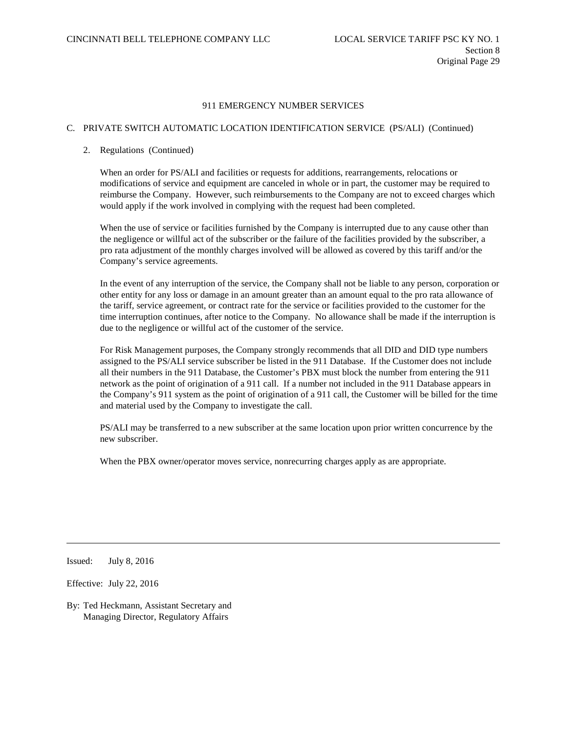## C. PRIVATE SWITCH AUTOMATIC LOCATION IDENTIFICATION SERVICE (PS/ALI) (Continued)

# 2. Regulations (Continued)

When an order for PS/ALI and facilities or requests for additions, rearrangements, relocations or modifications of service and equipment are canceled in whole or in part, the customer may be required to reimburse the Company. However, such reimbursements to the Company are not to exceed charges which would apply if the work involved in complying with the request had been completed.

When the use of service or facilities furnished by the Company is interrupted due to any cause other than the negligence or willful act of the subscriber or the failure of the facilities provided by the subscriber, a pro rata adjustment of the monthly charges involved will be allowed as covered by this tariff and/or the Company's service agreements.

In the event of any interruption of the service, the Company shall not be liable to any person, corporation or other entity for any loss or damage in an amount greater than an amount equal to the pro rata allowance of the tariff, service agreement, or contract rate for the service or facilities provided to the customer for the time interruption continues, after notice to the Company. No allowance shall be made if the interruption is due to the negligence or willful act of the customer of the service.

For Risk Management purposes, the Company strongly recommends that all DID and DID type numbers assigned to the PS/ALI service subscriber be listed in the 911 Database. If the Customer does not include all their numbers in the 911 Database, the Customer's PBX must block the number from entering the 911 network as the point of origination of a 911 call. If a number not included in the 911 Database appears in the Company's 911 system as the point of origination of a 911 call, the Customer will be billed for the time and material used by the Company to investigate the call.

PS/ALI may be transferred to a new subscriber at the same location upon prior written concurrence by the new subscriber.

When the PBX owner/operator moves service, nonrecurring charges apply as are appropriate.

Issued: July 8, 2016

Effective: July 22, 2016